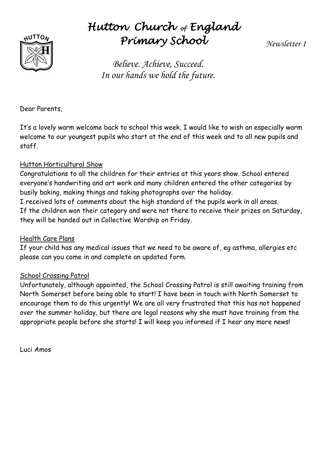

# *Hutton Church of England Primary School*

*Newsletter 1*

*Believe. Achieve, Succeed. In our hands we hold the future.*

Dear Parents,

It's a lovely warm welcome back to school this week. I would like to wish an especially warm welcome to our youngest pupils who start at the end of this week and to all new pupils and staff.

## Hutton Horticultural Show

Congratulations to all the children for their entries at this years show. School entered everyone's handwriting and art work and many children entered the other categories by busily baking, making things and taking photographs over the holiday. I received lots of comments about the high standard of the pupils work in all areas. If the children won their category and were not there to receive their prizes on Saturday, they will be handed out in Collective Worship on Friday.

## Health Care Plans

If your child has any medical issues that we need to be aware of, eg asthma, allergies etc please can you come in and complete an updated form.

## School Crossing Patrol

Unfortunately, although appointed, the School Crossing Patrol is still awaiting training from North Somerset before being able to start! I have been in touch with North Somerset to encourage them to do this urgently! We are all very frustrated that this has not happened over the summer holiday, but there are legal reasons why she must have training from the appropriate people before she starts! I will keep you informed if I hear any more news!

Luci Amos